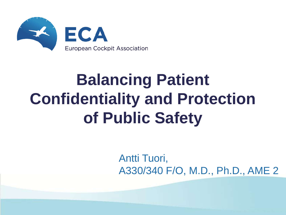

## **Balancing Patient Confidentiality and Protection of Public Safety**

Antti Tuori, A330/340 F/O, M.D., Ph.D., AME 2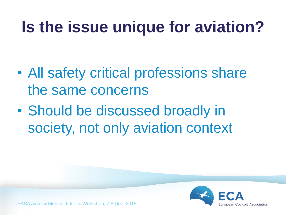#### **Is the issue unique for aviation?**

- All safety critical professions share the same concerns
- Should be discussed broadly in society, not only aviation context

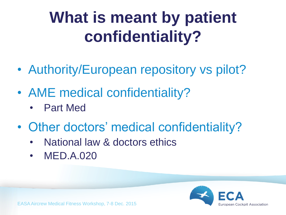#### **What is meant by patient confidentiality?**

- Authority/European repository vs pilot?
- AME medical confidentiality?
	- Part Med
- Other doctors' medical confidentiality?
	- National law & doctors ethics
	- **MED.A.020**

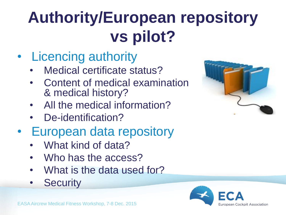# **Authority/European repository vs pilot?**

- Licencing authority
	- Medical certificate status?
	- Content of medical examination & medical history?
	- All the medical information?
	- De-identification?
- European data repository
	- What kind of data?
	- Who has the access?
	- What is the data used for?
	- **Security**



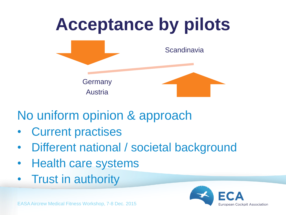

#### No uniform opinion & approach

- **Current practises**
- Different national / societal background
- Health care systems
- Trust in authority

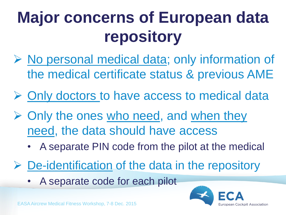# **Major concerns of European data repository**

- $\triangleright$  No personal medical data; only information of the medical certificate status & previous AME
- $\triangleright$  Only doctors to have access to medical data
- $\triangleright$  Only the ones who need, and when they need, the data should have access
	- A separate PIN code from the pilot at the medical
- $\triangleright$  De-identification of the data in the repository
	- A separate code for each pilot

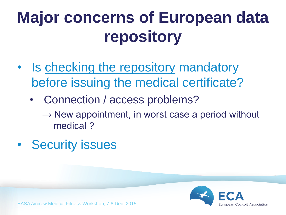# **Major concerns of European data repository**

- Is checking the repository mandatory before issuing the medical certificate?
	- Connection / access problems?
		- $\rightarrow$  New appointment, in worst case a period without medical ?
- Security issues

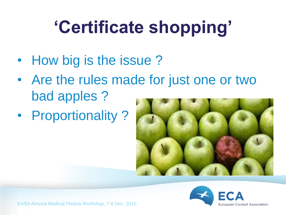# **'Certificate shopping'**

- How big is the issue?
- Are the rules made for just one or two bad apples ?
- Proportionality ?



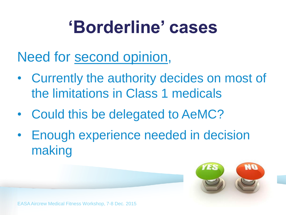#### **'Borderline' cases**

Need for second opinion,

- Currently the authority decides on most of the limitations in Class 1 medicals
- Could this be delegated to AeMC?
- Enough experience needed in decision making